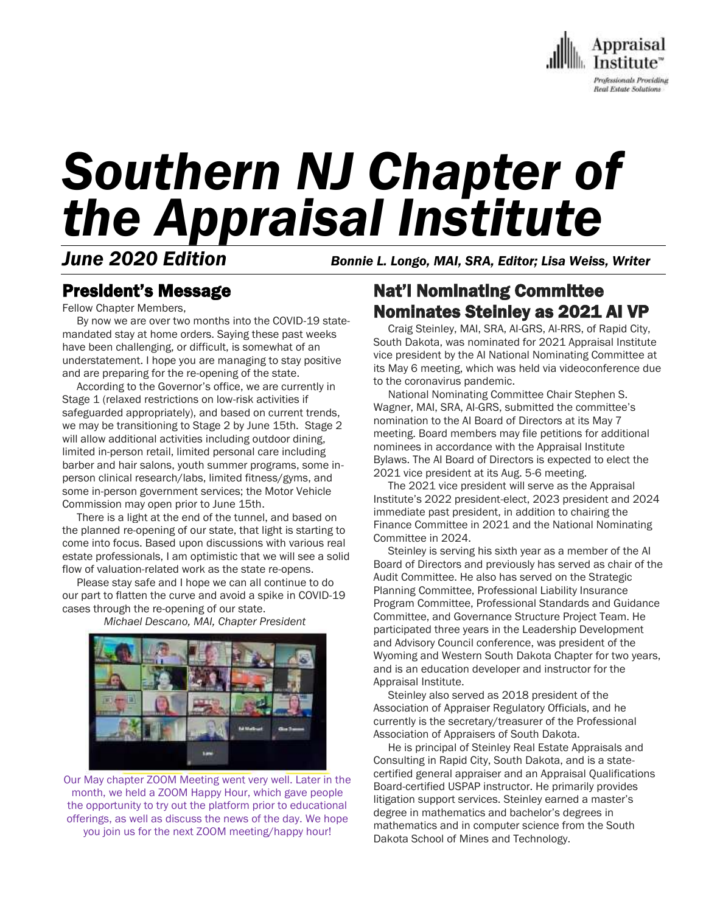

# *Southern NJ Chapter of the Appraisal Institute*

*June 2020 Edition Bonnie L. Longo, MAI, SRA, Editor; Lisa Weiss, Writer*

### President's Message

Fellow Chapter Members,

 By now we are over two months into the COVID-19 statemandated stay at home orders. Saying these past weeks have been challenging, or difficult, is somewhat of an understatement. I hope you are managing to stay positive and are preparing for the re-opening of the state.

 According to the Governor's office, we are currently in Stage 1 (relaxed restrictions on low-risk activities if safeguarded appropriately), and based on current trends, we may be transitioning to Stage 2 by June 15th. Stage 2 will allow additional activities including outdoor dining, limited in-person retail, limited personal care including barber and hair salons, youth summer programs, some inperson clinical research/labs, limited fitness/gyms, and some in-person government services; the Motor Vehicle Commission may open prior to June 15th.

 There is a light at the end of the tunnel, and based on the planned re-opening of our state, that light is starting to come into focus. Based upon discussions with various real estate professionals, I am optimistic that we will see a solid flow of valuation-related work as the state re-opens.

 Please stay safe and I hope we can all continue to do our part to flatten the curve and avoid a spike in COVID-19 cases through the re-opening of our state.



*Michael Descano, MAI, Chapter President*

Our May chapter ZOOM Meeting went very well. Later in the month, we held a ZOOM Happy Hour, which gave people the opportunity to try out the platform prior to educational offerings, as well as discuss the news of the day. We hope you join us for the next ZOOM meeting/happy hour!

Nat'l Nominating Committee Nominates Steinley as 2021 AI VP

 Craig Steinley, MAI, SRA, AI-GRS, AI-RRS, of Rapid City, South Dakota, was nominated for 2021 Appraisal Institute vice president by the AI National Nominating Committee at its May 6 meeting, which was held via videoconference due to the coronavirus pandemic.

 National Nominating Committee Chair Stephen S. Wagner, MAI, SRA, AI-GRS, submitted the committee's nomination to the AI Board of Directors at its May 7 meeting. Board members may file petitions for additional nominees in accordance with the Appraisal Institute Bylaws. The AI Board of Directors is expected to elect the 2021 vice president at its Aug. 5-6 meeting.

 The 2021 vice president will serve as the Appraisal Institute's 2022 president-elect, 2023 president and 2024 immediate past president, in addition to chairing the Finance Committee in 2021 and the National Nominating Committee in 2024.

 Steinley is serving his sixth year as a member of the AI Board of Directors and previously has served as chair of the Audit Committee. He also has served on the Strategic Planning Committee, Professional Liability Insurance Program Committee, Professional Standards and Guidance Committee, and Governance Structure Project Team. He participated three years in the Leadership Development and Advisory Council conference, was president of the Wyoming and Western South Dakota Chapter for two years, and is an education developer and instructor for the Appraisal Institute.

 Steinley also served as 2018 president of the Association of Appraiser Regulatory Officials, and he currently is the secretary/treasurer of the Professional Association of Appraisers of South Dakota.

 He is principal of Steinley Real Estate Appraisals and Consulting in Rapid City, South Dakota, and is a statecertified general appraiser and an Appraisal Qualifications Board-certified USPAP instructor. He primarily provides litigation support services. Steinley earned a master's degree in mathematics and bachelor's degrees in mathematics and in computer science from the South Dakota School of Mines and Technology.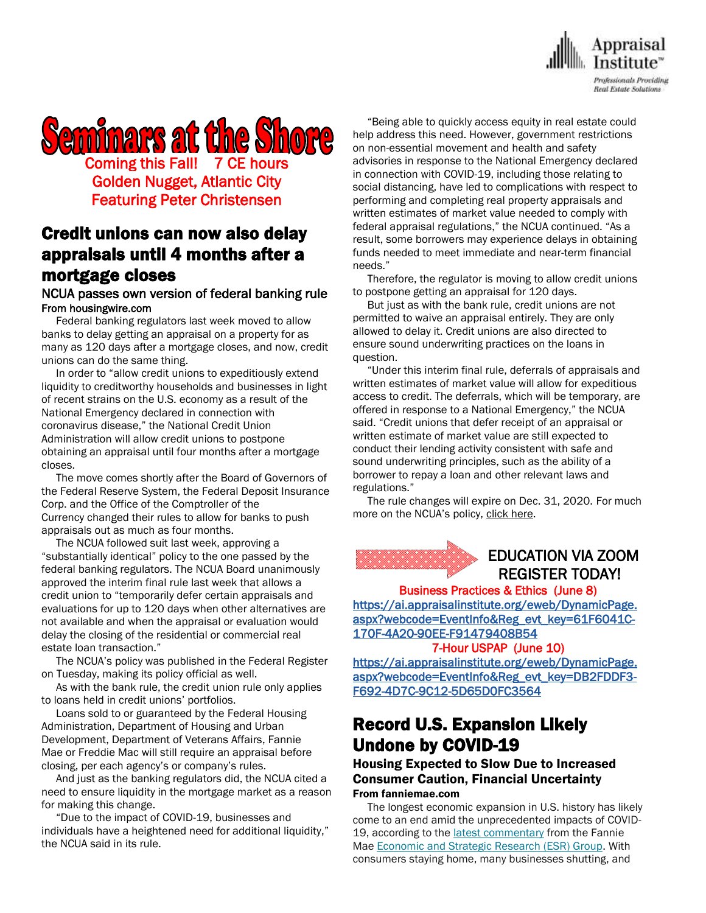

# **Seminars at the Shore** Coming this Fall! 7 CE hours Golden Nugget, Atlantic City Featuring Peter Christensen

### Credit unions can now also delay appraisals until 4 months after a mortgage closes

### NCUA passes own version of federal banking rule From housingwire.com

 Federal banking regulators last week [moved](https://www.housingwire.com/articles/banks-will-soon-be-able-to-postpone-some-appraisals-until-120-days-after-a-mortgage-closes/) to allow banks to delay getting an appraisal on a property for as many as 120 days after a mortgage closes, and now, credit unions can do the same thing.

 In order to "allow credit unions to expeditiously extend liquidity to creditworthy households and businesses in light of recent strains on the U.S. economy as a result of the National Emergency declared in connection with coronavirus disease," the National Credit Union Administration will allow credit unions to postpone obtaining an appraisal until four months after a mortgage closes.

 The move comes shortly after the Board of Governors of the Federal Reserve System, the Federal Deposit Insurance Corp. and the Office of the Comptroller of the Currency [changed their rules](https://www.housingwire.com/articles/banks-can-now-postpone-some-appraisals-until-120-days-after-a-mortgage-closes/) to allow for banks to push appraisals out as much as four months.

 The NCUA followed suit last week, approving a "substantially identical" policy to the one passed by the federal banking regulators. The NCUA Board unanimously approved the interim final rule last week that allows a credit union to "temporarily defer certain appraisals and evaluations for up to 120 days when other alternatives are not available and when the appraisal or evaluation would delay the closing of the residential or commercial real estate loan transaction."

 The NCUA's policy was published in the Federal Register on Tuesday, making its policy official as well.

 As with the bank rule, the credit union rule only applies to loans held in credit unions' portfolios.

 Loans sold to or guaranteed by the Federal Housing Administration, Department of Housing and Urban Development, Department of Veterans Affairs, Fannie Mae or Freddie Mac will still require an appraisal before closing, per each agency's or company's rules.

 And just as the banking regulators did, the NCUA cited a need to ensure liquidity in the mortgage market as a reason for making this change.

 "Due to the impact of COVID-19, businesses and individuals have a heightened need for additional liquidity," the NCUA said in its rule.

 "Being able to quickly access equity in real estate could help address this need. However, government restrictions on non-essential movement and health and safety advisories in response to the National Emergency declared in connection with COVID-19, including those relating to social distancing, have led to complications with respect to performing and completing real property appraisals and written estimates of market value needed to comply with federal appraisal regulations," the NCUA continued. "As a result, some borrowers may experience delays in obtaining funds needed to meet immediate and near-term financial needs."

 Therefore, the regulator is moving to allow credit unions to postpone getting an appraisal for 120 days.

 But just as with the bank rule, credit unions are not permitted to waive an appraisal entirely. They are only allowed to delay it. Credit unions are also directed to ensure sound underwriting practices on the loans in question.

 "Under this interim final rule, deferrals of appraisals and written estimates of market value will allow for expeditious access to credit. The deferrals, which will be temporary, are offered in response to a National Emergency," the NCUA said. "Credit unions that defer receipt of an appraisal or written estimate of market value are still expected to conduct their lending activity consistent with safe and sound underwriting principles, such as the ability of a borrower to repay a loan and other relevant laws and regulations."

 The rule changes will expire on Dec. 31, 2020. For much more on the NCUA's policy, [click here.](https://www.federalregister.gov/documents/2020/04/21/2020-08435/real-estate-appraisals)

### EDUCATION VIA ZOOM REGISTER TODAY!

Business Practices & Ethics (June 8) [https://ai.appraisalinstitute.org/eweb/DynamicPage.](https://ai.appraisalinstitute.org/eweb/DynamicPage.aspx?webcode=EventInfo&Reg_evt_key=61F6041C-170F-4A20-90EE-F91479408B54) [aspx?webcode=EventInfo&Reg\\_evt\\_key=61F6041C-](https://ai.appraisalinstitute.org/eweb/DynamicPage.aspx?webcode=EventInfo&Reg_evt_key=61F6041C-170F-4A20-90EE-F91479408B54)[170F-4A20-90EE-F91479408B54](https://ai.appraisalinstitute.org/eweb/DynamicPage.aspx?webcode=EventInfo&Reg_evt_key=61F6041C-170F-4A20-90EE-F91479408B54) 

### 7-Hour USPAP (June 10)

[https://ai.appraisalinstitute.org/eweb/DynamicPage.](https://ai.appraisalinstitute.org/eweb/DynamicPage.aspx?webcode=EventInfo&Reg_evt_key=DB2FDDF3-F692-4D7C-9C12-5D65D0FC3564) [aspx?webcode=EventInfo&Reg\\_evt\\_key=DB2FDDF3-](https://ai.appraisalinstitute.org/eweb/DynamicPage.aspx?webcode=EventInfo&Reg_evt_key=DB2FDDF3-F692-4D7C-9C12-5D65D0FC3564) [F692-4D7C-9C12-5D65D0FC3564](https://ai.appraisalinstitute.org/eweb/DynamicPage.aspx?webcode=EventInfo&Reg_evt_key=DB2FDDF3-F692-4D7C-9C12-5D65D0FC3564) 

# Record U.S. Expansion Likely Undone by COVID-19

### Housing Expected to Slow Due to Increased Consumer Caution, Financial Uncertainty From fanniemae.com

 The longest economic expansion in U.S. history has likely come to an end amid the unprecedented impacts of COVID19, according to the [latest commentary](https://www.fanniemae.com/portal/research-insights/forecast/monthly/economic-developments/april-2020.html) from the Fannie Mae [Economic and Strategic Research \(ESR\) Group.](https://www.fanniemae.com/portal/research-insights/forecast.html?) With consumers staying home, many businesses shutting, and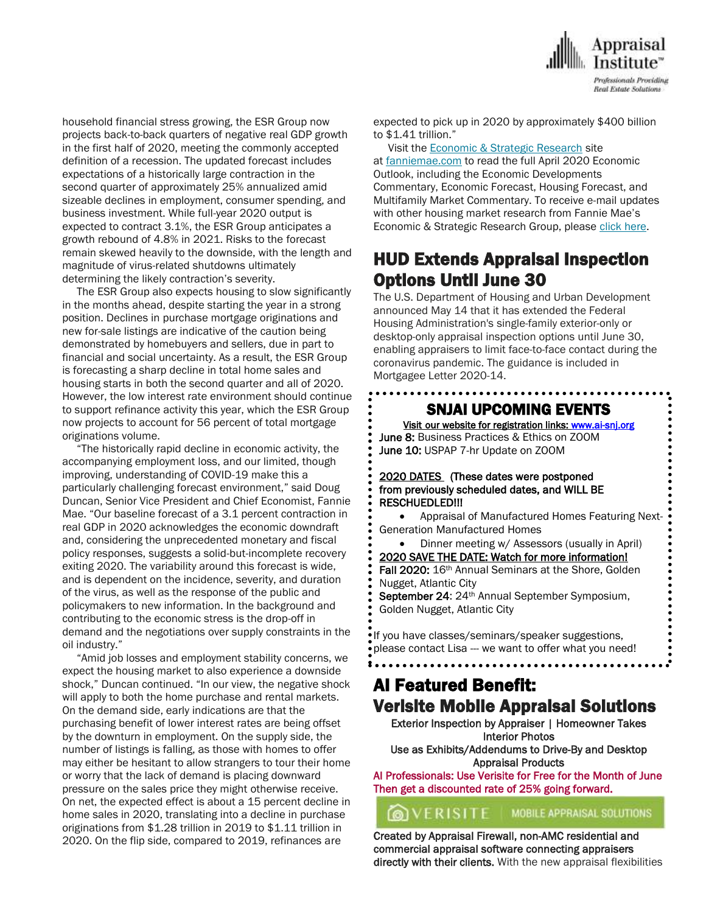

household financial stress growing, the ESR Group now projects back-to-back quarters of negative real GDP growth in the first half of 2020, meeting the commonly accepted definition of a recession. The updated forecast includes expectations of a historically large contraction in the second quarter of approximately 25% annualized amid sizeable declines in employment, consumer spending, and business investment. While full-year 2020 output is expected to contract 3.1%, the ESR Group anticipates a growth rebound of 4.8% in 2021. Risks to the forecast remain skewed heavily to the downside, with the length and magnitude of virus-related shutdowns ultimately determining the likely contraction's severity.

 The ESR Group also expects housing to slow significantly in the months ahead, despite starting the year in a strong position. Declines in purchase mortgage originations and new for-sale listings are indicative of the caution being demonstrated by homebuyers and sellers, due in part to financial and social uncertainty. As a result, the ESR Group is forecasting a sharp decline in total home sales and housing starts in both the second quarter and all of 2020. However, the low interest rate environment should continue to support refinance activity this year, which the ESR Group now projects to account for 56 percent of total mortgage originations volume.

 "The historically rapid decline in economic activity, the accompanying employment loss, and our limited, though improving, understanding of COVID-19 make this a particularly challenging forecast environment," said Doug Duncan, Senior Vice President and Chief Economist, Fannie Mae. "Our baseline forecast of a 3.1 percent contraction in real GDP in 2020 acknowledges the economic downdraft and, considering the unprecedented monetary and fiscal policy responses, suggests a solid-but-incomplete recovery exiting 2020. The variability around this forecast is wide, and is dependent on the incidence, severity, and duration of the virus, as well as the response of the public and policymakers to new information. In the background and contributing to the economic stress is the drop-off in demand and the negotiations over supply constraints in the oil industry."

 "Amid job losses and employment stability concerns, we expect the housing market to also experience a downside shock," Duncan continued. "In our view, the negative shock will apply to both the home purchase and rental markets. On the demand side, early indications are that the purchasing benefit of lower interest rates are being offset by the downturn in employment. On the supply side, the number of listings is falling, as those with homes to offer may either be hesitant to allow strangers to tour their home or worry that the lack of demand is placing downward pressure on the sales price they might otherwise receive. On net, the expected effect is about a 15 percent decline in home sales in 2020, translating into a decline in purchase originations from \$1.28 trillion in 2019 to \$1.11 trillion in 2020. On the flip side, compared to 2019, refinances are

expected to pick up in 2020 by approximately \$400 billion to \$1.41 trillion."

#### Visit the **[Economic & Strategic Research](https://www.fanniemae.com/portal/research-insights/forecast.html?)** site

at [fanniemae.com](https://www.fanniemae.com/) to read the full April 2020 Economic Outlook, including the Economic Developments Commentary, Economic Forecast, Housing Forecast, and Multifamily Market Commentary. To receive e-mail updates with other housing market research from Fannie Mae's Economic & Strategic Research Group, please [click here.](https://www.fanniemae.com/portal/research-insights/esr-signup.html)

### HUD Extends Appraisal Inspection Options Until June 30

The U.S. Department of Housing and Urban Development announced May 14 that it has extended the Federal Housing Administration's single-family exterior-only or desktop-only appraisal inspection options until June 30, enabling appraisers to limit face-to-face contact during the coronavirus pandemic. The guidance is included in Mortgagee Letter 2020-14.

### $\overline{\phantom{0}}$ SNJAI UPCOMING EVENTS

[Visit](http://www.myappraisalinstitute.org/education/southernNewJersey) our website for registration links[: www.ai-snj.org](http://www.ai-snj.org/)  June 8: Business Practices & Ethics on ZOOM June 10: USPAP 7-hr Update on ZOOM

#### 2020 DATES (These dates were postponed from previously scheduled dates, and WILL BE RESCHUEDLED!!!

 Appraisal of Manufactured Homes Featuring Next- Generation Manufactured Homes

 Dinner meeting w/ Assessors (usually in April) 2020 SAVE THE DATE: Watch for more information! Fall 2020: 16th Annual Seminars at the Shore, Golden Nugget, Atlantic City September 24: 24<sup>th</sup> Annual September Symposium,

Golden Nugget, Atlantic City

If you have classes/seminars/speaker suggestions, please contact Lisa --- we want to offer what you need!

### AI Featured Benefit: Verisite Mobile Appraisal Solutions

Exterior Inspection by Appraiser | Homeowner Takes Interior Photos Use as Exhibits/Addendums to Drive-By and Desktop

Appraisal Products AI Professionals: Use Verisite for Free for the Month of June Then get a discounted rate of 25% going forward.

**OVERISITE** MOBILE APPRAISAL SOLUTIONS

Created by Appraisal Firewall, non-AMC residential and commercial appraisal software connecting appraisers directly with their clients. With the new appraisal flexibilities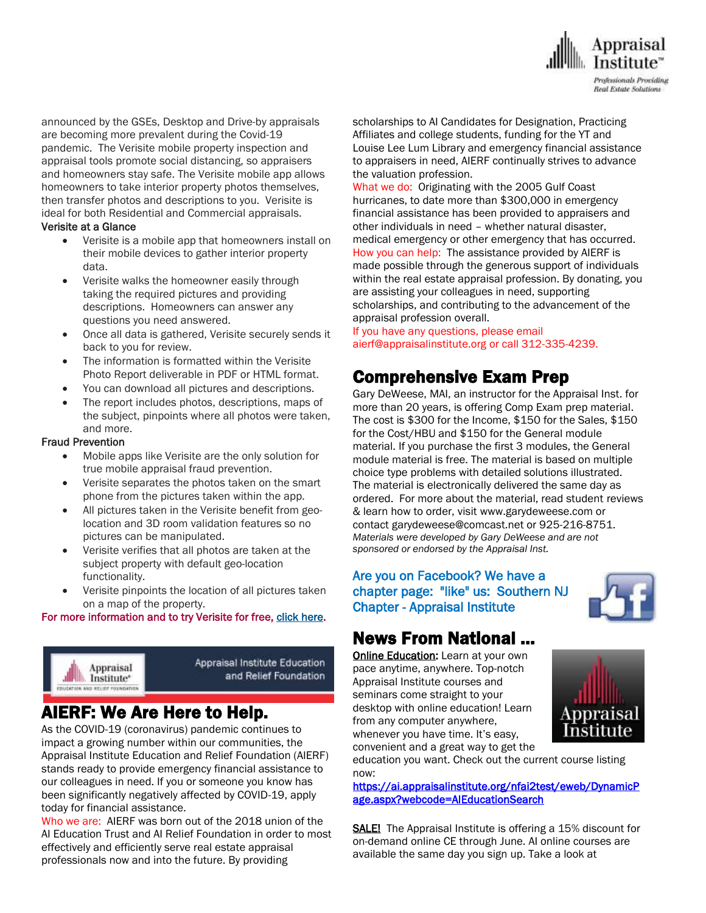

announced by the GSEs, Desktop and Drive-by appraisals are becoming more prevalent during the Covid-19 pandemic. The Verisite mobile property inspection and appraisal tools promote social distancing, so appraisers and homeowners stay safe. The Verisite mobile app allows homeowners to take interior property photos themselves, then transfer photos and descriptions to you. Verisite is ideal for both Residential and Commercial appraisals.

#### Verisite at a Glance

- Verisite is a mobile app that homeowners install on their mobile devices to gather interior property data.
- Verisite walks the homeowner easily through taking the required pictures and providing descriptions. Homeowners can answer any questions you need answered.
- Once all data is gathered, Verisite securely sends it back to you for review.
- The information is formatted within the Verisite Photo Report deliverable in PDF or HTML format.
- You can download all pictures and descriptions.
- The report includes photos, descriptions, maps of the subject, pinpoints where all photos were taken, and more.

#### Fraud Prevention

- Mobile apps like Verisite are the only solution for true mobile appraisal fraud prevention.
- Verisite separates the photos taken on the smart phone from the pictures taken within the app.
- All pictures taken in the Verisite benefit from geolocation and 3D room validation features so no pictures can be manipulated.
- Verisite verifies that all photos are taken at the subject property with default geo-location functionality.
- Verisite pinpoints the location of all pictures taken on a map of the property.

#### For more information and to try Verisite for free[, click here.](http://send.appraisalinstitute.org/link.cfm?r=vwtD93oHHyUAMd-FHE_JHA~~&pe=0qH6c9vdKNISYmDuWPojiO_-hb-BH1AdKwt_BSkqjhFaBU3Jn87ZQ2I3mfIST2YUooW_qtKke70lch2QKL7Dig~~&t=_Vbuh6CnxqUdfl6C3SIFxA~~)



Appraisal Institute Education and Relief Foundation

# AIERF: We Are Here to Help.

As the COVID-19 (coronavirus) pandemic continues to impact a growing number within our communities, the Appraisal Institute Education and Relief Foundation (AIERF) stands ready to provide emergency financial assistance to our colleagues in need. If you or someone you know has been significantly negatively affected by COVID-19, apply today for financial assistance.

Who we are: AIERF was born out of the 2018 union of the AI Education Trust and AI Relief Foundation in order to most effectively and efficiently serve real estate appraisal professionals now and into the future. By providing

scholarships to AI Candidates for Designation, Practicing Affiliates and college students, funding for the YT and Louise Lee Lum Library and emergency financial assistance to appraisers in need, AIERF continually strives to advance the valuation profession.

What we do: Originating with the 2005 Gulf Coast hurricanes, to date more than \$300,000 in emergency financial assistance has been provided to appraisers and other individuals in need – whether natural disaster, medical emergency or other emergency that has occurred. How you can help: The assistance provided by AIERF is made possible through the generous support of individuals within the real estate appraisal profession. By donating, you are assisting your colleagues in need, supporting scholarships, and contributing to the advancement of the appraisal profession overall.

If you have any questions, please email aierf@appraisalinstitute.org or call 312-335-4239.

### Comprehensive Exam Prep

Gary DeWeese, MAI, an instructor for the Appraisal Inst. for more than 20 years, is offering Comp Exam prep material. The cost is \$300 for the Income, \$150 for the Sales, \$150 for the Cost/HBU and \$150 for the General module material. If you purchase the first 3 modules, the General module material is free. The material is based on multiple choice type problems with detailed solutions illustrated. The material is electronically delivered the same day as ordered. For more about the material, read student reviews & learn how to order, visit www.garydeweese.com or contact garydeweese@comcast.net or 925-216-8751. *Materials were developed by Gary DeWeese and are not sponsored or endorsed by the Appraisal Inst.*

### Are you on Facebook? We have a chapter page: "like" us: Southern NJ Chapter - Appraisal Institute



### News From National …

[Online Education:](http://www.mmsend50.com/ls.cfm?r=99596491&sid=8974475&m=957997&u=Appraise&s=http://www.appraisalinstitute.org/online) Learn at your own pace anytime, anywhere. Top-notch Appraisal Institute courses and seminars come straight to your desktop with online education! Learn from any computer anywhere, whenever you have time. It's easy, convenient and a great way to get the



education you want. Check out the current course listing now:

[https://ai.appraisalinstitute.org/nfai2test/eweb/DynamicP](https://ai.appraisalinstitute.org/nfai2test/eweb/DynamicPage.aspx?webcode=AIEducationSearch) [age.aspx?webcode=AIEducationSearch](https://ai.appraisalinstitute.org/nfai2test/eweb/DynamicPage.aspx?webcode=AIEducationSearch) 

SALE! The Appraisal Institute is offering a 15% discount for on-demand online CE through June. AI online courses are available the same day you sign up. Take a look at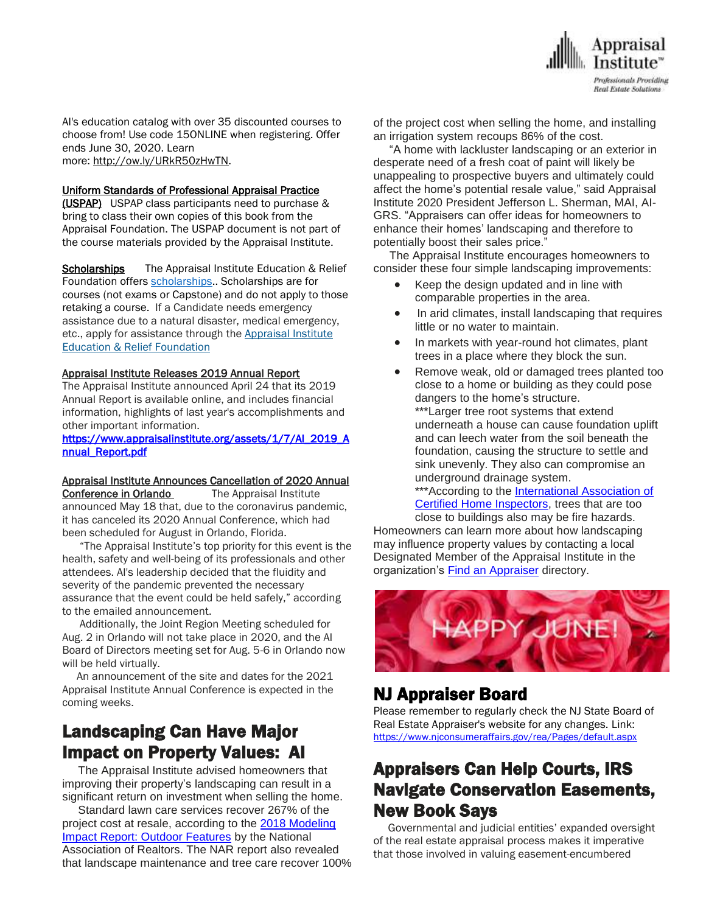

AI's education catalog with over 35 discounted courses to choose from! Use code 15ONLINE when registering. Offer ends June 30, 2020. Learn more: [http://ow.ly/URkR50zHwTN.](http://send.appraisalinstitute.org/link.cfm?r=vwtD93oHHyUAMd-FHE_JHA~~&pe=ewgNjACdfmSPJcpHnKpYWRIFLxDcViW0yd7FM3RNxcPn7HK9ONEKHtxrT8oB5AqRn17A2wEkrDbpvQmY0Pt9mg~~&t=NE3HFBNJCUBbfZ7H9yaz6g~~)

#### Uniform Standards of Professional Appraisal Practice

(USPAP) USPAP class participants need to purchase & bring to class their own copies of this book from the Appraisal Foundation. The USPAP document is not part of the course materials provided by the Appraisal Institute.

Scholarships The Appraisal Institute Education & Relief Foundation offers [scholarships.](http://send.appraisalinstitute.org/link.cfm?r=TyxXOooBFM-9kcaVyjABIA~~&pe=k_y06NsR9-tB3atEDYdXWLTTqBM_H3aeIPclU_7mx0sd29sU_T_sOiJTIa3747wAJXWGK_wLmsw-M82swC-Ijw~~&t=jouIQRRPlOfDkLqJe5AmNA~~). Scholarships are for courses (not exams or Capstone) and do not apply to those retaking a course. If a Candidate needs emergency assistance due to a natural disaster, medical emergency, etc., apply for assistance through the Appraisal Institute Education & Relief Foundation

#### Appraisal Institute Releases 2019 Annual Report

The Appraisal Institute announced April 24 that its 2019 Annual Report is available online, and includes financial information, highlights of last year's accomplishments and other important information.

#### [https://www.appraisalinstitute.org/assets/1/7/AI\\_2019\\_A](https://www.appraisalinstitute.org/assets/1/7/AI_2019_Annual_Report.pdf) [nnual\\_Report.pdf](https://www.appraisalinstitute.org/assets/1/7/AI_2019_Annual_Report.pdf)

#### Appraisal Institute Announces Cancellation of 2020 Annual

Conference in Orlando The Appraisal Institute announced May 18 that, due to the coronavirus pandemic, it has canceled its 2020 Annual Conference, which had been scheduled for August in Orlando, Florida.

 "The Appraisal Institute's top priority for this event is the health, safety and well-being of its professionals and other attendees. AI's leadership decided that the fluidity and severity of the pandemic prevented the necessary assurance that the event could be held safely," according to the emailed announcement.

 Additionally, the Joint Region Meeting scheduled for Aug. 2 in Orlando will not take place in 2020, and the AI Board of Directors meeting set for Aug. 5-6 in Orlando now will be held virtually.

 An announcement of the site and dates for the 2021 Appraisal Institute Annual Conference is expected in the coming weeks.

# Landscaping Can Have Major Impact on Property Values: AI

 The Appraisal Institute advised homeowners that improving their property's landscaping can result in a significant return on investment when selling the home.

 Standard lawn care services recover 267% of the project cost at resale, according to the 2018 [Modeling](https://u7061146.ct.sendgrid.net/ls/click?upn=4tNED-2FM8iDZJQyQ53jATUd8Sw6YWp2o9eRl3a-2BZWjLrnK9Isz9ahcbgajJSX28PK-2F-2BmP-2FV0qkh0hHmaUGyzhWkb6DUXX2AEW08Vu1n62QwMyn5jHp40ekbldYSuyrLsNTIE-2BZepm64PZR8iFADVQfcvkDkKNc0HxPpC-2BL6Hg-2FyE-3DcMaK_fALB6xdx7ntcsrlbmL1Q5RTOZ0wTUQHeDOv9v4FCBPwUaC7tWektTpF-2FHOxGJWMyIIV2-2BBtY7ZOVOEQ3dN6mnDqAbmXFcq01oIR23z6rLLnl-2Bx7zbCkHnb4PRDX7s5zWso2wOdCx-2Fi-2Flmjl-2FnzkxuB6n9h7BVV7-2BsE0PO-2FbrOug8xJI1R6cKjGh7AHvQFKiOYx4dSStNYU02i8-2FSyK-2BRbW96loN81XXGkuLRgo-2FkmAhWF-2FSk3POX8iX9lVqzQ-2FRjlI7loSylYLiDMdkSd5eS6LJkBVj3eePfMAdJlzjxOX5cv-2B9a-2FYcNBBD9lhM5DhDptBowOAlejYm5Tul-2FLfqPX4g2QdgtL8isG81pdSHfUUbMleX0WesYPfcCaLjqUrNI) Impact Report: Outdoor [Features](https://u7061146.ct.sendgrid.net/ls/click?upn=4tNED-2FM8iDZJQyQ53jATUd8Sw6YWp2o9eRl3a-2BZWjLrnK9Isz9ahcbgajJSX28PK-2F-2BmP-2FV0qkh0hHmaUGyzhWkb6DUXX2AEW08Vu1n62QwMyn5jHp40ekbldYSuyrLsNTIE-2BZepm64PZR8iFADVQfcvkDkKNc0HxPpC-2BL6Hg-2FyE-3DcMaK_fALB6xdx7ntcsrlbmL1Q5RTOZ0wTUQHeDOv9v4FCBPwUaC7tWektTpF-2FHOxGJWMyIIV2-2BBtY7ZOVOEQ3dN6mnDqAbmXFcq01oIR23z6rLLnl-2Bx7zbCkHnb4PRDX7s5zWso2wOdCx-2Fi-2Flmjl-2FnzkxuB6n9h7BVV7-2BsE0PO-2FbrOug8xJI1R6cKjGh7AHvQFKiOYx4dSStNYU02i8-2FSyK-2BRbW96loN81XXGkuLRgo-2FkmAhWF-2FSk3POX8iX9lVqzQ-2FRjlI7loSylYLiDMdkSd5eS6LJkBVj3eePfMAdJlzjxOX5cv-2B9a-2FYcNBBD9lhM5DhDptBowOAlejYm5Tul-2FLfqPX4g2QdgtL8isG81pdSHfUUbMleX0WesYPfcCaLjqUrNI) by the National Association of Realtors. The NAR report also revealed that landscape maintenance and tree care recover 100% of the project cost when selling the home, and installing an irrigation system recoups 86% of the cost.

 "A home with lackluster landscaping or an exterior in desperate need of a fresh coat of paint will likely be unappealing to prospective buyers and ultimately could affect the home's potential resale value," said Appraisal Institute 2020 President Jefferson L. Sherman, MAI, AI-GRS. "Appraisers can offer ideas for homeowners to enhance their homes' landscaping and therefore to potentially boost their sales price."

 The Appraisal Institute encourages homeowners to consider these four simple landscaping improvements:

- Keep the design updated and in line with comparable properties in the area.
- In arid climates, install landscaping that requires little or no water to maintain.
- In markets with year-round hot climates, plant trees in a place where they block the sun.
- Remove weak, old or damaged trees planted too close to a home or building as they could pose dangers to the home's structure.

\*\*\*Larger tree root systems that extend underneath a house can cause foundation uplift and can leech water from the soil beneath the foundation, causing the structure to settle and sink unevenly. They also can compromise an underground drainage system.

\*\*\*According to the [International](https://u7061146.ct.sendgrid.net/ls/click?upn=TeZUXWpUv-2B6TCY38pVLo9jV3UWakgVWVOY-2BJqNdvLx913yFSMN2v83FYb-2FnMOrkACzd6_fALB6xdx7ntcsrlbmL1Q5RTOZ0wTUQHeDOv9v4FCBPwUaC7tWektTpF-2FHOxGJWMyIIV2-2BBtY7ZOVOEQ3dN6mnDqAbmXFcq01oIR23z6rLLnl-2Bx7zbCkHnb4PRDX7s5zWso2wOdCx-2Fi-2Flmjl-2FnzkxuB6n9h7BVV7-2BsE0PO-2FbrOug8xJI1R6cKjGh7AHvQFKiOYx4dSStNYU02i8-2FSyK-2BRbaZ6GuLYRZsti-2Ft0hfcro3oXh5cWtDbOe-2FeVJOqqIB-2FwPxU0vbIrjO7s-2F8gVB13ZY3yc6KECiwT562jZPNWDhV7bq44XEUnvE9aUato0tNazOhbksr114YuOiluB1uGtclRBbDlfYe94HqzEExm5-2FH7Yc0Cv6-2BmCsYY36y-2By3nHK) Association of Certified Home [Inspectors,](https://u7061146.ct.sendgrid.net/ls/click?upn=TeZUXWpUv-2B6TCY38pVLo9jV3UWakgVWVOY-2BJqNdvLx913yFSMN2v83FYb-2FnMOrkACzd6_fALB6xdx7ntcsrlbmL1Q5RTOZ0wTUQHeDOv9v4FCBPwUaC7tWektTpF-2FHOxGJWMyIIV2-2BBtY7ZOVOEQ3dN6mnDqAbmXFcq01oIR23z6rLLnl-2Bx7zbCkHnb4PRDX7s5zWso2wOdCx-2Fi-2Flmjl-2FnzkxuB6n9h7BVV7-2BsE0PO-2FbrOug8xJI1R6cKjGh7AHvQFKiOYx4dSStNYU02i8-2FSyK-2BRbaZ6GuLYRZsti-2Ft0hfcro3oXh5cWtDbOe-2FeVJOqqIB-2FwPxU0vbIrjO7s-2F8gVB13ZY3yc6KECiwT562jZPNWDhV7bq44XEUnvE9aUato0tNazOhbksr114YuOiluB1uGtclRBbDlfYe94HqzEExm5-2FH7Yc0Cv6-2BmCsYY36y-2By3nHK) trees that are too

close to buildings also may be fire hazards. Homeowners can learn more about how landscaping may influence property values by contacting a local Designated Member of the Appraisal Institute in the organization's Find an [Appraiser](https://u7061146.ct.sendgrid.net/ls/click?upn=4tNED-2FM8iDZJQyQ53jATUb0d6Y3zI1QODYnCkxpMBSNiBfGZ4ep5cDSjSf-2FcqUkzLtmhUKuiJ3XJruEY-2FOPmBklvN1f9pF7ShvN41DrUrR-2FSOIks28qjm8I7QO9dsDGe1cdetbQvk1ISw5E0BCjtOQv6EGxVFJs4pWzLq9JkMKfnCeZ94BeyBHPrJV5HG1kCyhoZ_fALB6xdx7ntcsrlbmL1Q5RTOZ0wTUQHeDOv9v4FCBPwUaC7tWektTpF-2FHOxGJWMyIIV2-2BBtY7ZOVOEQ3dN6mnDqAbmXFcq01oIR23z6rLLnl-2Bx7zbCkHnb4PRDX7s5zWso2wOdCx-2Fi-2Flmjl-2FnzkxuB6n9h7BVV7-2BsE0PO-2FbrOug8xJI1R6cKjGh7AHvQFKiOYx4dSStNYU02i8-2FSyK-2BRbXxg12J7nCEDXfZdkJ4Mo-2FA64bFmLDxutZqOwObTS-2BYabOm4psbROYxr-2B-2BlgGaEkbFVIRsfJ0gvbyX284kcdlKu4Ks2joNe2iLj7qwyDzknSZtlIrNh7K0oQSATtod1acXjBKt9Xg3HsswwH2M44CqqqUXzcxDFe8WOQ5j6orvjr) directory.



### NJ Appraiser Board

Please remember to regularly check the NJ State Board of Real Estate Appraiser's website for any changes. Link: <https://www.njconsumeraffairs.gov/rea/Pages/default.aspx>

# Appraisers Can Help Courts, IRS Navigate Conservation Easements, New Book Says

 Governmental and judicial entities' expanded oversight of the real estate appraisal process makes it imperative that those involved in valuing easement-encumbered